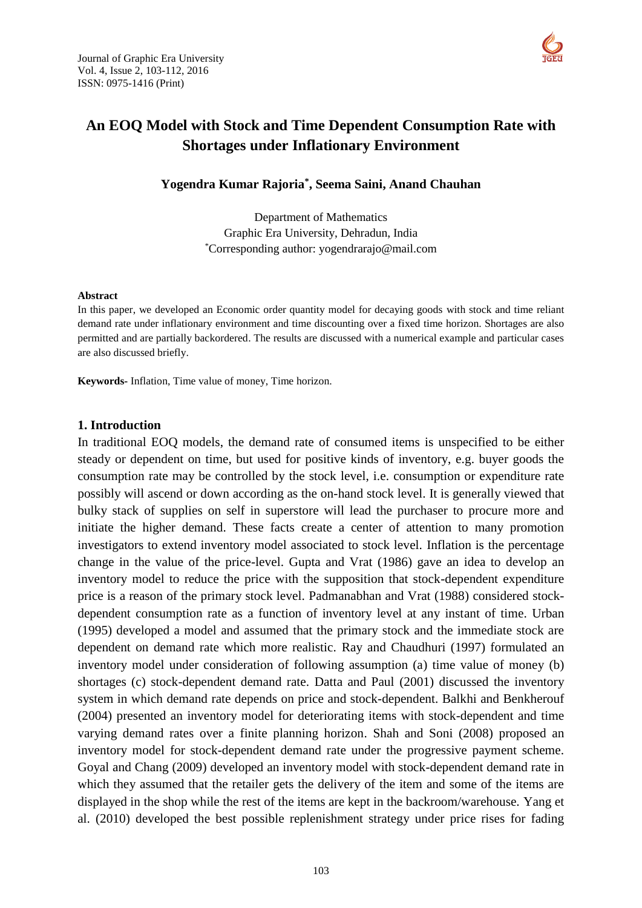

# **An EOQ Model with Stock and Time Dependent Consumption Rate with Shortages under Inflationary Environment**

**Yogendra Kumar Rajoria\* , Seema Saini, Anand Chauhan**

Department of Mathematics Graphic Era University, Dehradun, India \*Corresponding author: yogendrarajo@mail.com

#### **Abstract**

In this paper, we developed an Economic order quantity model for decaying goods with stock and time reliant demand rate under inflationary environment and time discounting over a fixed time horizon. Shortages are also permitted and are partially backordered. The results are discussed with a numerical example and particular cases are also discussed briefly.

**Keywords-** Inflation, Time value of money, Time horizon.

#### **1. Introduction**

In traditional EOQ models, the demand rate of consumed items is unspecified to be either steady or dependent on time, but used for positive kinds of inventory, e.g. buyer goods the consumption rate may be controlled by the stock level, i.e. consumption or expenditure rate possibly will ascend or down according as the on-hand stock level. It is generally viewed that bulky stack of supplies on self in superstore will lead the purchaser to procure more and initiate the higher demand. These facts create a center of attention to many promotion investigators to extend inventory model associated to stock level. Inflation is the percentage change in the value of the price-level. Gupta and Vrat (1986) gave an idea to develop an inventory model to reduce the price with the supposition that stock-dependent expenditure price is a reason of the primary stock level. Padmanabhan and Vrat (1988) considered stockdependent consumption rate as a function of inventory level at any instant of time. Urban (1995) developed a model and assumed that the primary stock and the immediate stock are dependent on demand rate which more realistic. Ray and Chaudhuri (1997) formulated an inventory model under consideration of following assumption (a) time value of money (b) shortages (c) stock-dependent demand rate. Datta and Paul (2001) discussed the inventory system in which demand rate depends on price and stock-dependent. Balkhi and Benkherouf (2004) presented an inventory model for deteriorating items with stock-dependent and time varying demand rates over a finite planning horizon. Shah and Soni (2008) proposed an inventory model for stock-dependent demand rate under the progressive payment scheme. Goyal and Chang (2009) developed an inventory model with stock-dependent demand rate in which they assumed that the retailer gets the delivery of the item and some of the items are displayed in the shop while the rest of the items are kept in the backroom/warehouse. Yang et al. (2010) developed the best possible replenishment strategy under price rises for fading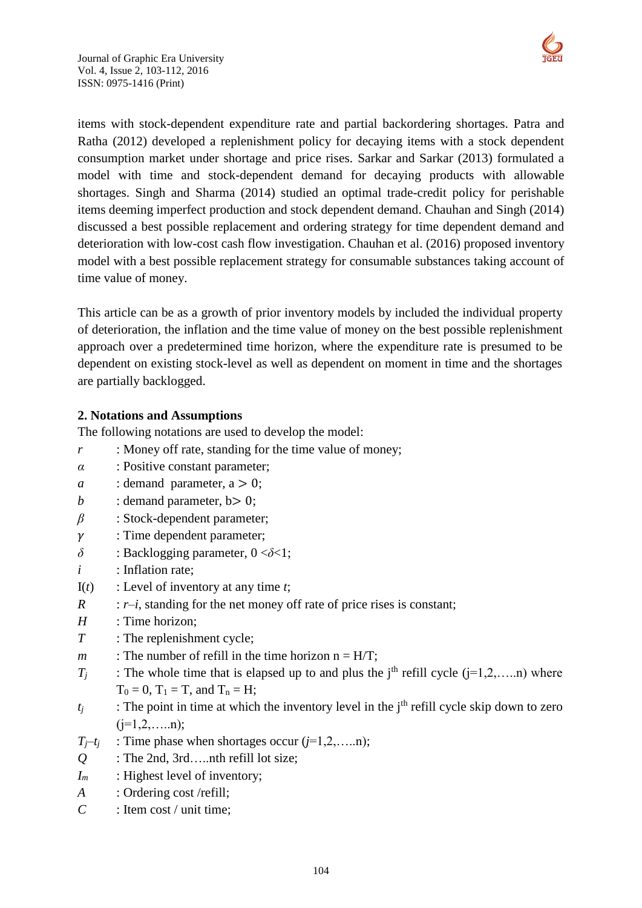

items with stock-dependent expenditure rate and partial backordering shortages. Patra and Ratha (2012) developed a replenishment policy for decaying items with a stock dependent consumption market under shortage and price rises. Sarkar and Sarkar (2013) formulated [a](http://www.sciencedirect.com/science/article/pii/S0264999312003240)  [model with time and stock-dependent demand](http://www.sciencedirect.com/science/article/pii/S0264999312003240) for decaying products with allowable shortages. Singh and Sharma (2014) studied an optimal trade-credit policy for perishable items deeming imperfect production and stock dependent demand. Chauhan and Singh (2014) discussed a best possible replacement and ordering strategy for time dependent demand and deterioration with low-cost cash flow investigation. Chauhan et al. (2016) proposed inventory model with a best possible replacement strategy for consumable substances taking account of time value of money.

This article can be as a growth of prior inventory models by included the individual property of deterioration, the inflation and the time value of money on the best possible replenishment approach over a predetermined time horizon, where the expenditure rate is presumed to be dependent on existing stock-level as well as dependent on moment in time and the shortages are partially backlogged.

# **2. Notations and Assumptions**

The following notations are used to develop the model:

- *r* : Money off rate, standing for the time value of money;
- *α* : Positive constant parameter;
- *a* : demand parameter,  $a > 0$ ;
- *b* : demand parameter,  $b > 0$ ;
- *β* : Stock-dependent parameter;
- $\gamma$  : Time dependent parameter;
- *δ* : Backlogging parameter, 0 <*δ*<1;
- *i* : Inflation rate:
- I(*t*) : Level of inventory at any time *t*;
- *R* : *r* $-i$ , standing for the net money off rate of price rises is constant;
- *H* : Time horizon;
- *T* : The replenishment cycle;
- *m* : The number of refill in the time horizon  $n = H/T$ ;
- $T_i$  : The whole time that is elapsed up to and plus the j<sup>th</sup> refill cycle (j=1,2,....,n) where  $T_0 = 0$ ,  $T_1 = T$ , and  $T_n = H$ ;
- $t_i$  : The point in time at which the inventory level in the j<sup>th</sup> refill cycle skip down to zero  $(i=1,2,...).n$ ;
- $T_i$ <sup> $+$ </sup>*j* : Time phase when shortages occur ( $i$ =1,2,…..n);
- *Q* : The 2nd, 3rd…..nth refill lot size;
- *I<sub>m</sub>* : Highest level of inventory;
- *A* : Ordering cost /refill;
- *C* : Item cost / unit time;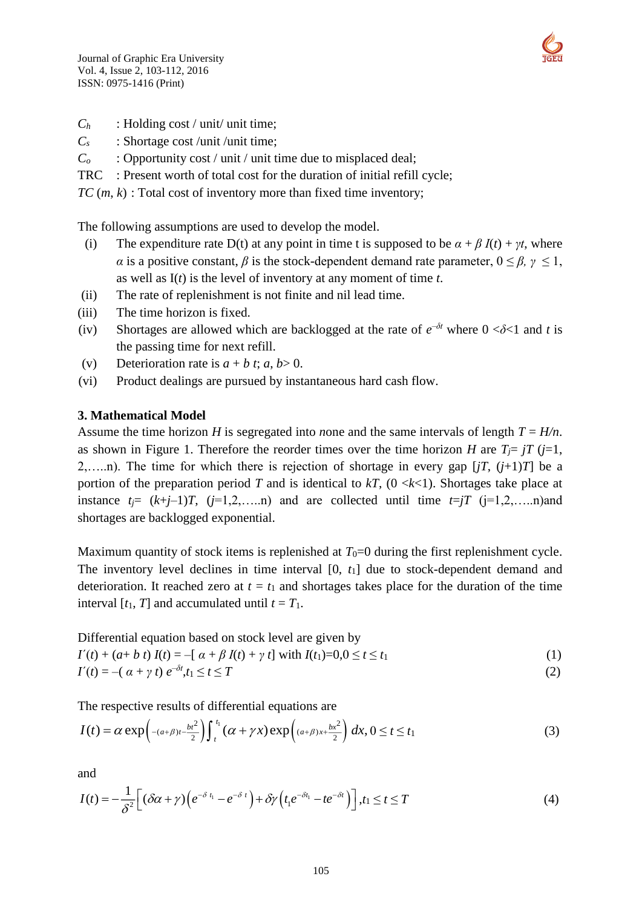

- *C<sup>h</sup>* : Holding cost / unit/ unit time;
- *C<sup>s</sup>* : Shortage cost /unit /unit time;
- *C<sup>o</sup>* : Opportunity cost / unit / unit time due to misplaced deal;
- TRC : Present worth of total cost for the duration of initial refill cycle;
- *TC* (*m*, *k*) : Total cost of inventory more than fixed time inventory;

The following assumptions are used to develop the model.

- (i) The expenditure rate D(t) at any point in time t is supposed to be  $\alpha + \beta I(t) + \gamma t$ , where *α* is a positive constant, *β* is the stock-dependent demand rate parameter,  $0 \le \beta$ ,  $\gamma \le 1$ , as well as I(*t*) is the level of inventory at any moment of time *t*.
- (ii) The rate of replenishment is not finite and nil lead time.
- (iii) The time horizon is fixed.
- (iv) Shortages are allowed which are backlogged at the rate of  $e^{-\delta t}$  where  $0 < \delta < 1$  and t is the passing time for next refill.
- (v) Deterioration rate is  $a + b$  *t*;  $a, b > 0$ .
- (vi) Product dealings are pursued by instantaneous hard cash flow.

### **3. Mathematical Model**

Assume the time horizon *H* is segregated into *n*one and the same intervals of length  $T = H/n$ . as shown in Figure 1. Therefore the reorder times over the time horizon *H* are  $T_i = iT$  ( $i=1$ , 2,.....n). The time for which there is rejection of shortage in every gap  $[jT, (j+1)T]$  be a portion of the preparation period *T* and is identical to  $kT$ , (0  $\lt k\lt 1$ ). Shortages take place at instance  $t_j = (k+j-1)T$ ,  $(j=1,2,...,n)$  and are collected until time  $t=jT$   $(j=1,2,...,n)$  and shortages are backlogged exponential.

Maximum quantity of stock items is replenished at  $T_0=0$  during the first replenishment cycle. The inventory level declines in time interval [0,  $t_1$ ] due to stock-dependent demand and deterioration. It reached zero at  $t = t_1$  and shortages takes place for the duration of the time interval  $[t_1, T]$  and accumulated until  $t = T_1$ .

Differential equation based on stock level are given by

$$
I'(t) + (a+b t) I(t) = -[ \alpha + \beta I(t) + \gamma t] \text{ with } I(t_1) = 0, 0 \le t \le t_1
$$
 (1)

$$
I'(t) = -(\alpha + \gamma t) e^{-\delta t}, t_1 \le t \le T
$$
\n<sup>(2)</sup>

The respective results of differential equations are

$$
I(t) = \alpha \exp\left(-(a+\beta)t - \frac{bt^2}{2}\right) \int_t^{t_1} (\alpha + \gamma x) \exp\left((a+\beta)x + \frac{bx^2}{2}\right) dx, 0 \le t \le t_1
$$
 (3)

and

$$
I(t) = -\frac{1}{\delta^2} \Big[ (\delta \alpha + \gamma) \Big( e^{-\delta t_1} - e^{-\delta t} \Big) + \delta \gamma \Big( t_1 e^{-\delta t_1} - t e^{-\delta t} \Big) \Big], t_1 \le t \le T
$$
 (4)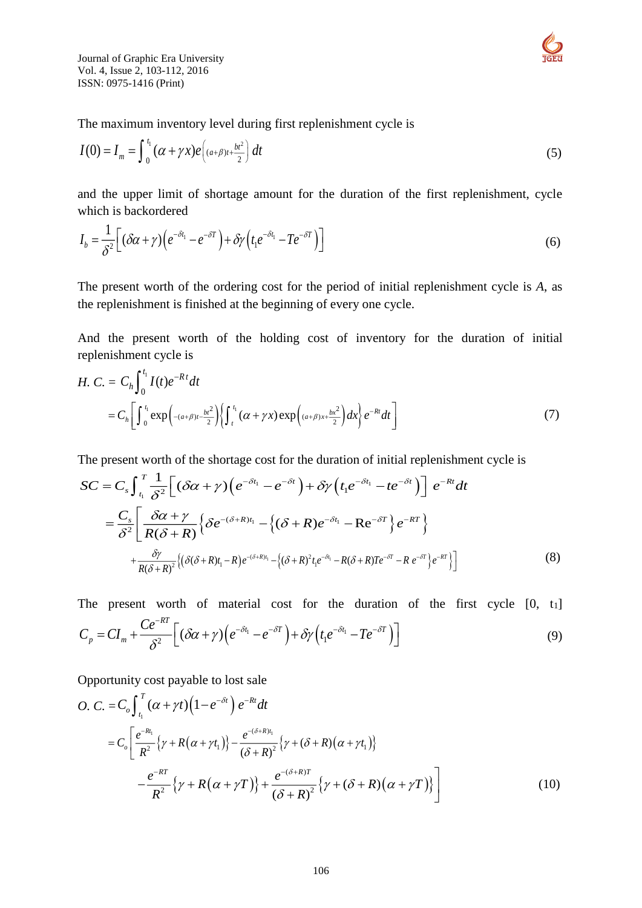

Journal of Graphic Era University Vol. 4, Issue 2, 103-112, 2016 ISSN: 0975-1416 (Print)

The maximum inventory level during first replenishment cycle is

$$
I(0) = I_m = \int_0^{t_1} (\alpha + \gamma x) e\left( (a+\beta)t + \frac{bt^2}{2} \right) dt
$$
 (5)

and the upper limit of shortage amount for the duration of the first replenishment, cycle which is backordered

$$
I_b = \frac{1}{\delta^2} \Big[ (\delta \alpha + \gamma) \Big( e^{-\delta t_1} - e^{-\delta T} \Big) + \delta \gamma \Big( t_1 e^{-\delta t_1} - T e^{-\delta T} \Big) \Big]
$$
(6)

The present worth of the ordering cost for the period of initial replenishment cycle is *A*, as the replenishment is finished at the beginning of every one cycle.

And the present worth of the holding cost of inventory for the duration of initial replenishment cycle is

H. C. = 
$$
C_h \int_0^{t_1} I(t)e^{-Rt}dt
$$
  
=  $C_h \left[ \int_0^{t_1} \exp\left(-\frac{a+\beta}{t_1} - \frac{b^2}{2}\right) \left\{ \int_t^{t_1} (\alpha + \gamma x) \exp\left(\frac{a+\beta}{x} - \frac{b^2}{2}\right) dx \right\} e^{-Rt} dt \right]$  (7)

The present worth of the shortage cost for the duration of initial replenishment cycle is

$$
SC = C_{s} \int_{t_{1}}^{T} \frac{1}{\delta^{2}} \Big[ (\delta \alpha + \gamma) \Big( e^{-\delta t_{1}} - e^{-\delta t} \Big) + \delta \gamma \Big( t_{1} e^{-\delta t_{1}} - t e^{-\delta t} \Big) \Big] e^{-Rt} dt
$$
  

$$
= \frac{C_{s}}{\delta^{2}} \Bigg[ \frac{\delta \alpha + \gamma}{R(\delta + R)} \Big\{ \delta e^{-(\delta + R)t_{1}} - \Big\{ (\delta + R) e^{-\delta t_{1}} - \text{Re}^{-\delta T} \Big\} e^{-RT} \Big\}
$$
  

$$
+ \frac{\delta \gamma}{R(\delta + R)^{2}} \Big\{ (\delta(\delta + R)t_{1} - R) e^{-(\delta + R)t_{1}} - \Big\{ (\delta + R)^{2} t_{1} e^{-\delta t_{1}} - R(\delta + R) T e^{-\delta T} - R e^{-\delta T} \Big\} e^{-RT} \Big\} \Big]
$$
(8)

The present worth of material cost for the duration of the first cycle  $[0, t_1]$  $\frac{1}{2}$   $(\delta \alpha + \gamma) \Big( e^{-\delta t_1} - e^{-\delta T} \Big) + \delta \gamma \Big( t_1 e^{-\delta t_1} - T e^{-\delta T} \Big)$ *RT t*  $-\delta T$   $\lambda$   $\sigma$   $\lambda$   $-\delta t$   $\sigma$   $-\delta T$  $C_p = CI_m + \frac{Ce^{-\kappa t}}{\delta^2} \left[ (\delta \alpha + \gamma) \left( e^{-\delta t_1} - e^{-\delta T} \right) + \delta \gamma \left( t_1 e^{-\delta t_1} - T e^{-\delta t_2} \right) \right]$  $=CI_{m}+\frac{Ce^{-\kappa r}}{\delta^{2}}\bigg[\big(\delta\alpha+\gamma\big)\bigg(e^{-\delta t_{1}}-e^{-\delta T}\bigg)+\delta\gamma\bigg(t_{1}e^{-\delta t_{1}}-Te^{-\delta T}\bigg)\bigg]$ (9)

Opportunity cost payable to lost sale

$$
O. C. = C_o \int_{t_1}^{T} (\alpha + \gamma t) \left(1 - e^{-\delta t}\right) e^{-Rt} dt
$$
  
\n
$$
= C_o \left[ \frac{e^{-Rt_1}}{R^2} \left\{\gamma + R(\alpha + \gamma t_1)\right\} - \frac{e^{-(\delta + R)t_1}}{(\delta + R)^2} \left\{\gamma + (\delta + R)(\alpha + \gamma t_1)\right\}
$$
  
\n
$$
- \frac{e^{-RT}}{R^2} \left\{\gamma + R(\alpha + \gamma T)\right\} + \frac{e^{-(\delta + R)T}}{(\delta + R)^2} \left\{\gamma + (\delta + R)(\alpha + \gamma T)\right\} \right]
$$
(10)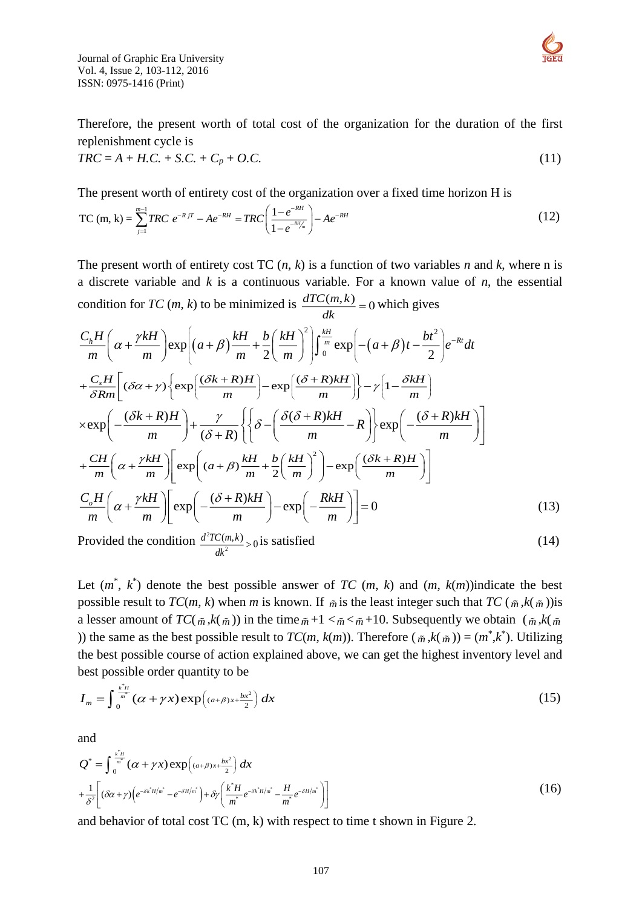Journal of Graphic Era University Vol. 4, Issue 2, 103-112, 2016 ISSN: 0975-1416 (Print)



Therefore, the present worth of total cost of the organization for the duration of the first replenishment cycle is

$$
TRC = A + H.C. + S.C. + C_p + O.C.
$$
\n(11)

The present worth of entirety cost of the organization over a fixed time horizon H is

TC (m, k) = 
$$
\sum_{j=1}^{m-1} TRC \ e^{-RjT} - Ae^{-RH} = TRC \left( \frac{1 - e^{-RH}}{1 - e^{-RH/m}} \right) - Ae^{-RH}
$$
 (12)

The present worth of entirety cost TC  $(n, k)$  is a function of two variables *n* and *k*, where n is a discrete variable and *k* is a continuous variable. For a known value of *n*, the essential condition for *TC* (*m*, *k*) to be minimized is  $\frac{dTC(m,k)}{dx} = 0$  $\frac{\partial (m, \kappa)}{\partial k} = 0$  which gives

$$
\frac{C_h H}{m} \left( \alpha + \frac{\gamma k H}{m} \right) \exp \left[ \left( a + \beta \right) \frac{k H}{m} + \frac{b}{2} \left( \frac{k H}{m} \right)^2 \right] \int_0^{\frac{k H}{m}} \exp \left[ -(a + \beta) t - \frac{bt^2}{2} \right] e^{-Rt} dt
$$
  
+
$$
\frac{C_s H}{\delta R m} \left[ (\delta \alpha + \gamma) \left\{ \exp \left( \frac{(\delta k + R) H}{m} \right) - \exp \left( \frac{(\delta + R) k H}{m} \right) \right\} - \gamma \left( 1 - \frac{\delta k H}{m} \right) \right\}
$$

$$
\times \exp \left( - \frac{(\delta k + R) H}{m} \right) + \frac{\gamma}{(\delta + R)} \left\{ \left\{ \delta - \left( \frac{\delta (\delta + R) k H}{m} - R \right) \right\} \exp \left( - \frac{(\delta + R) k H}{m} \right) \right\}
$$

$$
+ \frac{CH}{m} \left( \alpha + \frac{\gamma k H}{m} \right) \left[ \exp \left( (a + \beta) \frac{k H}{m} + \frac{b}{2} \left( \frac{k H}{m} \right)^2 \right) - \exp \left( \frac{(\delta k + R) H}{m} \right) \right]
$$

$$
\frac{C_o H}{m} \left( \alpha + \frac{\gamma k H}{m} \right) \left[ \exp \left( - \frac{(\delta + R) k H}{m} \right) - \exp \left( - \frac{R k H}{m} \right) \right] = 0 \tag{13}
$$

Provided the condition  $\frac{d^2}{dx^2}$  $\frac{d^2TC(m,k)}{n^2}>0$  $\frac{C(m,k)}{dk^2} > 0$  is satisfied (14)

Let  $(m^*, k^*)$  denote the best possible answer of *TC*  $(m, k)$  and  $(m, k(m))$ indicate the best possible result to  $TC(m, k)$  when *m* is known. If  $\tilde{m}$  is the least integer such that  $TC(\tilde{m}, k(\tilde{m}))$  is a lesser amount of  $TC(\tilde{m}, k(\tilde{m}))$  in the time  $\tilde{m}+1 < \tilde{m} < \tilde{m}+10$ . Subsequently we obtain  $(\tilde{m}, k(\tilde{m}))$ )) the same as the best possible result to  $TC(m, k(m))$ . Therefore  $(\tilde{m}, k(\tilde{m})) = (m^*, k^*)$ . Utilizing the best possible course of action explained above, we can get the highest inventory level and best possible order quantity to be

$$
I_m = \int_0^{\frac{k^2 H}{m^2}} (\alpha + \gamma x) \exp\left( (a + \beta) x + \frac{bx^2}{2} \right) dx \tag{15}
$$

and

$$
Q^* = \int_0^{\frac{k^*H}{m^*}} (\alpha + \gamma x) \exp\left( (a+\beta)x + \frac{bx^2}{2} \right) dx
$$
  
+ 
$$
\frac{1}{\delta^2} \left[ (\delta\alpha + \gamma) \left( e^{-\delta k^*H/m^*} - e^{-\delta H/m^*} \right) + \delta\gamma \left( \frac{k^*H}{m^*} e^{-\delta k^*H/m^*} - \frac{H}{m^*} e^{-\delta H/m^*} \right) \right]
$$
(16)

and behavior of total cost TC (m, k) with respect to time t shown in Figure 2.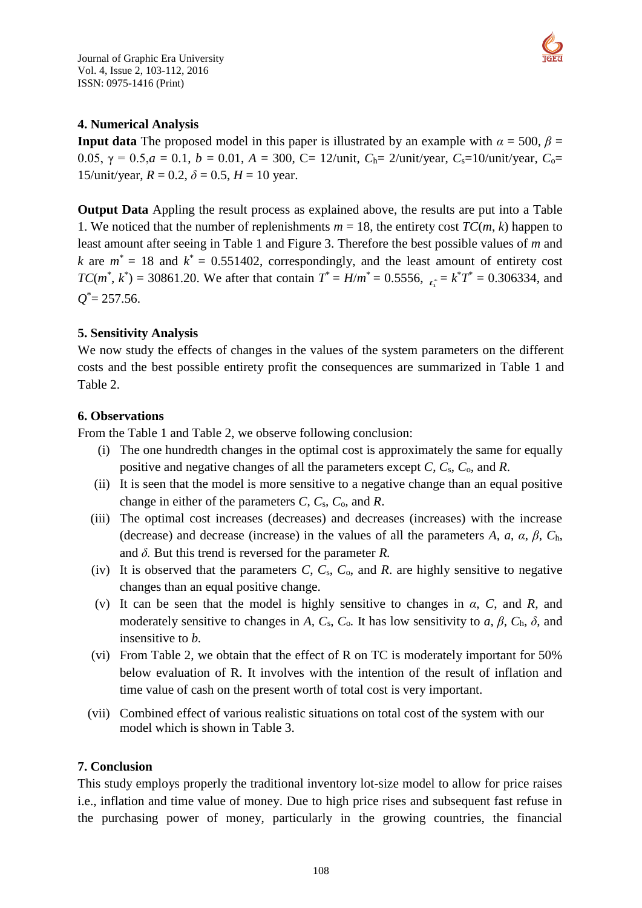

## **4. Numerical Analysis**

**Input data** The proposed model in this paper is illustrated by an example with  $\alpha = 500$ ,  $\beta =$ 0.05, γ = 0.5, $a = 0.1$ ,  $b = 0.01$ ,  $A = 300$ , C= 12/unit,  $C_h = 2$ /unit/year,  $C_s = 10$ /unit/year,  $C_o =$ 15/unit/year,  $R = 0.2$ ,  $\delta = 0.5$ ,  $H = 10$  year.

**Output Data** Appling the result process as explained above, the results are put into a Table 1. We noticed that the number of replenishments  $m = 18$ , the entirety cost  $TC(m, k)$  happen to least amount after seeing in Table 1 and Figure 3. Therefore the best possible values of *m* and *k* are  $m^* = 18$  and  $k^* = 0.551402$ , correspondingly, and the least amount of entirety cost *TC*( $m^*$ ,  $k^*$ ) = 30861.20. We after that contain  $T^* = H/m^* = 0.5556$ ,  $\tau_i^* = k^*T^* = 0.306334$ , and  $Q^*$  = 257.56.

# **5. Sensitivity Analysis**

We now study the effects of changes in the values of the system parameters on the different costs and the best possible entirety profit the consequences are summarized in Table 1 and Table 2.

#### **6. Observations**

From the Table 1 and Table 2, we observe following conclusion:

- (i) The one hundredth changes in the optimal cost is approximately the same for equally positive and negative changes of all the parameters except *C*, *C*s, *C*o*,* and *R*.
- (ii) It is seen that the model is more sensitive to a negative change than an equal positive change in either of the parameters *C*, *C*s, *C*o*,* and *R*.
- (iii) The optimal cost increases (decreases) and decreases (increases) with the increase (decrease) and decrease (increase) in the values of all the parameters *A*,  $a$ ,  $\alpha$ ,  $\beta$ ,  $C_h$ , and *δ.* But this trend is reversed for the parameter *R.*
- (iv) It is observed that the parameters  $C$ ,  $C_s$ ,  $C_o$ , and  $R$ . are highly sensitive to negative changes than an equal positive change.
- (v) It can be seen that the model is highly sensitive to changes in  $\alpha$ ,  $C$ , and  $R$ , and moderately sensitive to changes in *A*,  $C_s$ ,  $C_o$ . It has low sensitivity to *a*,  $\beta$ ,  $C_h$ ,  $\delta$ , and insensitive to *b.*
- (vi) From Table 2, we obtain that the effect of R on TC is moderately important for 50% below evaluation of R. It involves with the intention of the result of inflation and time value of cash on the present worth of total cost is very important.
- (vii) Combined effect of various realistic situations on total cost of the system with our model which is shown in Table 3.

# **7. Conclusion**

This study employs properly the traditional inventory lot-size model to allow for price raises i.e., inflation and time value of money. Due to high price rises and subsequent fast refuse in the purchasing power of money, particularly in the growing countries, the financial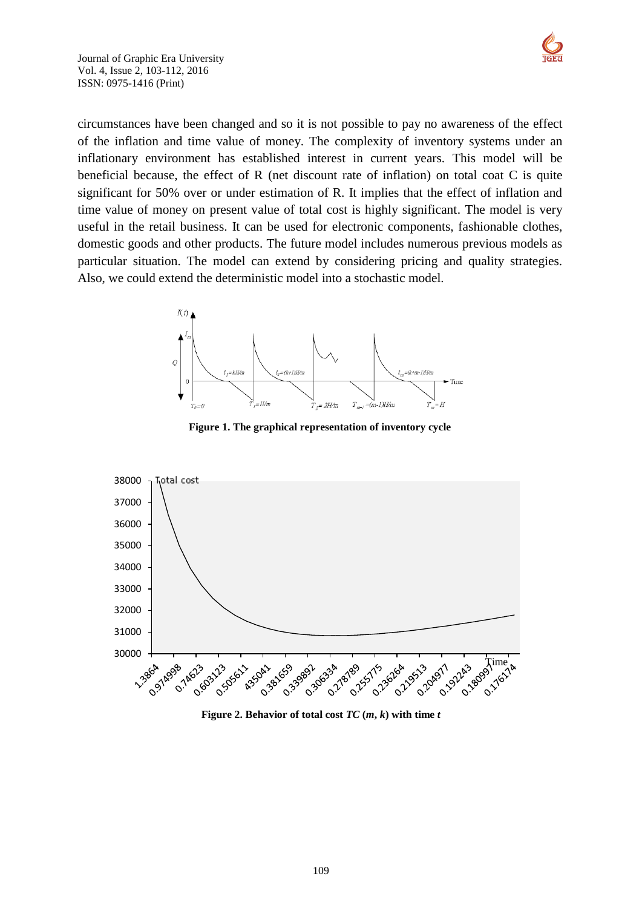



circumstances have been changed and so it is not possible to pay no awareness of the effect of the inflation and time value of money. The complexity of inventory systems under an inflationary environment has established interest in current years. This model will be beneficial because, the effect of R (net discount rate of inflation) on total coat C is quite significant for 50% over or under estimation of R. It implies that the effect of inflation and time value of money on present value of total cost is highly significant. The model is very useful in the retail business. It can be used for electronic components, fashionable clothes, domestic goods and other products. The future model includes numerous previous models as particular situation. The model can extend by considering pricing and quality strategies. Also, we could extend the deterministic model into a stochastic model.



**Figure 1. The graphical representation of inventory cycle**



**Figure** 2. Behavior of total cost  $TC(m, k)$  with time *t*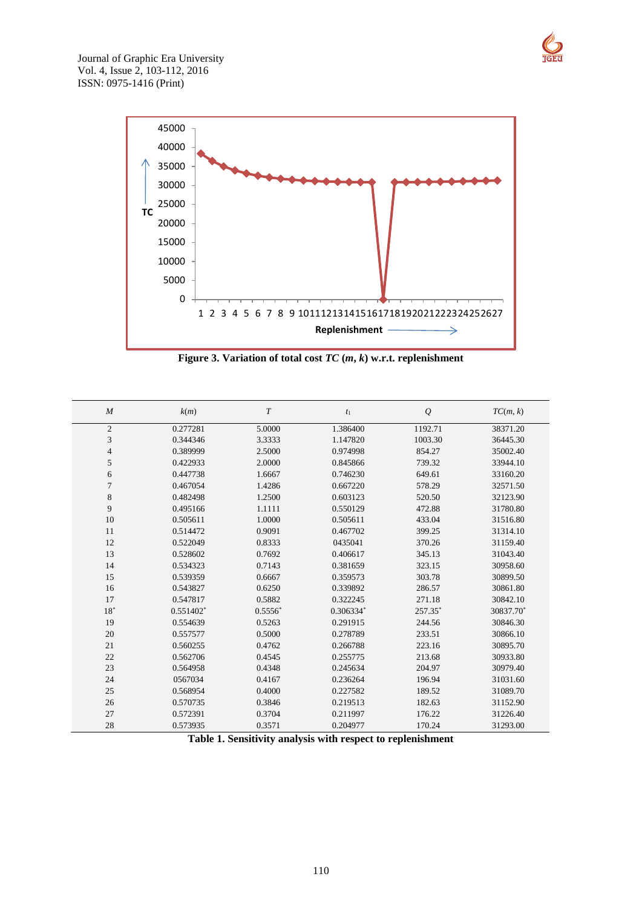





**Figure 3. Variation of total cost** *TC* **(***m***,** *k***) w.r.t. replenishment**

| M                        | k(m)                    | T         | $t_1$     | ${\mathcal{Q}}$ | TC(m, k)  |
|--------------------------|-------------------------|-----------|-----------|-----------------|-----------|
| $\mathbf{2}$             | 0.277281                | 5.0000    | 1.386400  | 1192.71         | 38371.20  |
| 3                        | 0.344346                | 3.3333    | 1.147820  | 1003.30         | 36445.30  |
| $\overline{\mathcal{L}}$ | 0.389999                | 2.5000    | 0.974998  | 854.27          | 35002.40  |
| 5                        | 0.422933                | 2.0000    | 0.845866  | 739.32          | 33944.10  |
| 6                        | 0.447738                | 1.6667    | 0.746230  | 649.61          | 33160.20  |
| 7                        | 0.467054                | 1.4286    | 0.667220  | 578.29          | 32571.50  |
| 8                        | 0.482498                | 1.2500    | 0.603123  | 520.50          | 32123.90  |
| 9                        | 0.495166                | 1.1111    | 0.550129  | 472.88          | 31780.80  |
| 10                       | 0.505611                | 1.0000    | 0.505611  | 433.04          | 31516.80  |
| 11                       | 0.514472                | 0.9091    | 0.467702  | 399.25          | 31314.10  |
| 12                       | 0.522049                | 0.8333    | 0435041   | 370.26          | 31159.40  |
| 13                       | 0.528602                | 0.7692    | 0.406617  | 345.13          | 31043.40  |
| 14                       | 0.534323                | 0.7143    | 0.381659  | 323.15          | 30958.60  |
| 15                       | 0.539359                | 0.6667    | 0.359573  | 303.78          | 30899.50  |
| 16                       | 0.543827                | 0.6250    | 0.339892  | 286.57          | 30861.80  |
| 17                       | 0.547817                | 0.5882    | 0.322245  | 271.18          | 30842.10  |
| $18^{\circ}$             | $0.551402$ <sup>*</sup> | $0.5556*$ | 0.306334* | 257.35*         | 30837.70* |
| 19                       | 0.554639                | 0.5263    | 0.291915  | 244.56          | 30846.30  |
| 20                       | 0.557577                | 0.5000    | 0.278789  | 233.51          | 30866.10  |
| 21                       | 0.560255                | 0.4762    | 0.266788  | 223.16          | 30895.70  |
| 22                       | 0.562706                | 0.4545    | 0.255775  | 213.68          | 30933.80  |
| 23                       | 0.564958                | 0.4348    | 0.245634  | 204.97          | 30979.40  |
| 24                       | 0567034                 | 0.4167    | 0.236264  | 196.94          | 31031.60  |
| 25                       | 0.568954                | 0.4000    | 0.227582  | 189.52          | 31089.70  |
| 26                       | 0.570735                | 0.3846    | 0.219513  | 182.63          | 31152.90  |
| 27                       | 0.572391                | 0.3704    | 0.211997  | 176.22          | 31226.40  |
| 28                       | 0.573935                | 0.3571    | 0.204977  | 170.24          | 31293.00  |

**Table 1. Sensitivity analysis with respect to replenishment**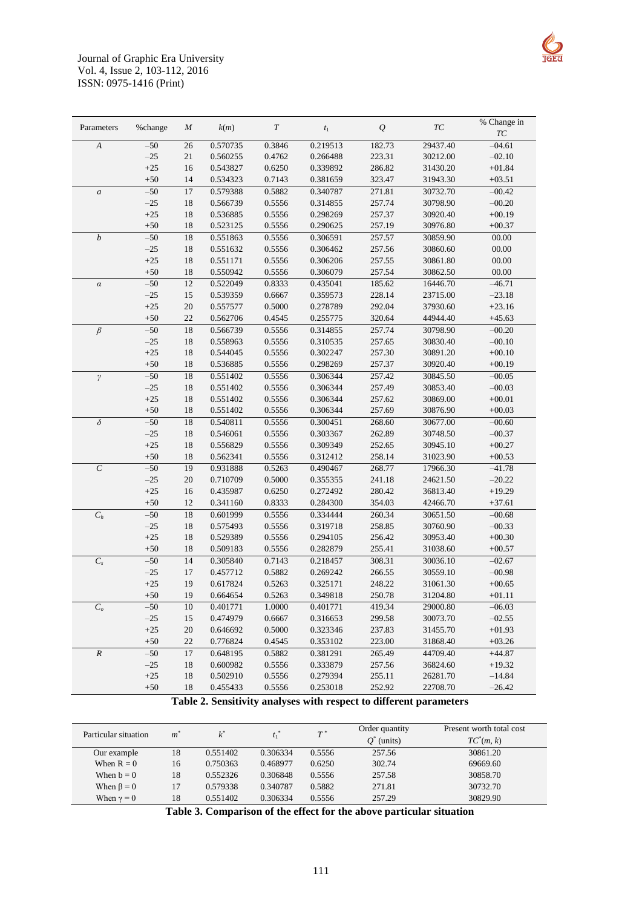



**Table 2. Sensitivity analyses with respect to different parameters**

| Particular situation | $m^*$ | $k^*$    |          | $T^*$  | Order quantity<br>$Q^*$ (units) | Present worth total cost<br>$TC^*(m, k)$ |
|----------------------|-------|----------|----------|--------|---------------------------------|------------------------------------------|
| Our example          | 18    | 0.551402 | 0.306334 | 0.5556 | 257.56                          | 30861.20                                 |
| When $R = 0$         | 16    | 0.750363 | 0.468977 | 0.6250 | 302.74                          | 69669.60                                 |
| When $b = 0$         | 18    | 0.552326 | 0.306848 | 0.5556 | 257.58                          | 30858.70                                 |
| When $\beta = 0$     | 17    | 0.579338 | 0.340787 | 0.5882 | 271.81                          | 30732.70                                 |
| When $\gamma = 0$    | 18    | 0.551402 | 0.306334 | 0.5556 | 257.29                          | 30829.90                                 |

**Table 3. Comparison of the effect for the above particular situation**